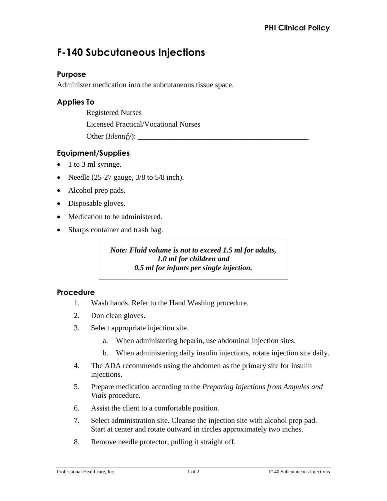# **F-140 Subcutaneous Injections**

## **Purpose**

Administer medication into the subcutaneous tissue space.

## **Applies To**

Registered Nurses

Licensed Practical/Vocational Nurses

Other (*Identify*):

# **Equipment/Supplies**

- 1 to 3 ml syringe.
- Needle  $(25-27)$  gauge,  $3/8$  to  $5/8$  inch).
- Alcohol prep pads.
- Disposable gloves.
- Medication to be administered.
- Sharps container and trash bag.

*Note: Fluid volume is not to exceed 1.5 ml for adults, 1.0 ml for children and 0.5 ml for infants per single injection.* 

#### **Procedure**

- 1. Wash hands. Refer to the Hand Washing procedure.
- 2. Don clean gloves.
- 3. Select appropriate injection site.
	- a. When administering heparin, use abdominal injection sites.
	- b. When administering daily insulin injections, rotate injection site daily.
- 4. The ADA recommends using the abdomen as the primary site for insulin injections.
- 5. Prepare medication according to the *Preparing Injections from Ampules and Vials* procedure.
- 6. Assist the client to a comfortable position.
- 7. Select administration site. Cleanse the injection site with alcohol prep pad. Start at center and rotate outward in circles approximately two inches.
- 8. Remove needle protector, pulling it straight off.